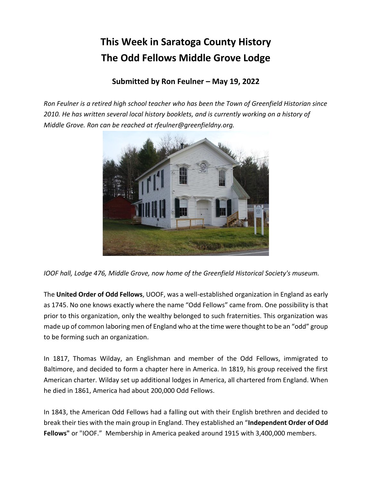## **This Week in Saratoga County History The Odd Fellows Middle Grove Lodge**

## **Submitted by Ron Feulner – May 19, 2022**

*Ron Feulner is a retired high school teacher who has been the Town of Greenfield Historian since 2010. He has written several local history booklets, and is currently working on a history of Middle Grove. Ron can be reached at rfeulner@greenfieldny.org.*



*IOOF hall, Lodge 476, Middle Grove, now home of the Greenfield Historical Society's museum.*

The **United Order of Odd Fellows**, UOOF, was a well-established organization in England as early as 1745. No one knows exactly where the name "Odd Fellows" came from. One possibility is that prior to this organization, only the wealthy belonged to such fraternities. This organization was made up of common laboring men of England who at the time were thought to be an "odd" group to be forming such an organization.

In 1817, Thomas Wilday, an Englishman and member of the Odd Fellows, immigrated to Baltimore, and decided to form a chapter here in America. In 1819, his group received the first American charter. Wilday set up additional lodges in America, all chartered from England. When he died in 1861, America had about 200,000 Odd Fellows.

In 1843, the American Odd Fellows had a falling out with their English brethren and decided to break their ties with the main group in England. They established an "**Independent Order of Odd Fellows"** or "IOOF." Membership in America peaked around 1915 with 3,400,000 members.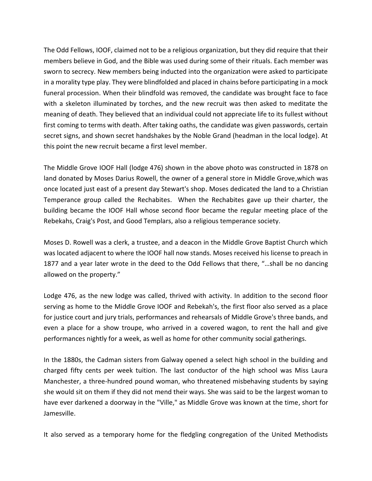The Odd Fellows, IOOF, claimed not to be a religious organization, but they did require that their members believe in God, and the Bible was used during some of their rituals. Each member was sworn to secrecy. New members being inducted into the organization were asked to participate in a morality type play. They were blindfolded and placed in chains before participating in a mock funeral procession. When their blindfold was removed, the candidate was brought face to face with a skeleton illuminated by torches, and the new recruit was then asked to meditate the meaning of death. They believed that an individual could not appreciate life to its fullest without first coming to terms with death. After taking oaths, the candidate was given passwords, certain secret signs, and shown secret handshakes by the Noble Grand (headman in the local lodge). At this point the new recruit became a first level member.

The Middle Grove IOOF Hall (lodge 476) shown in the above photo was constructed in 1878 on land donated by Moses Darius Rowell, the owner of a general store in Middle Grove,which was once located just east of a present day Stewart's shop. Moses dedicated the land to a Christian Temperance group called the Rechabites. When the Rechabites gave up their charter, the building became the IOOF Hall whose second floor became the regular meeting place of the Rebekahs, Craig's Post, and Good Templars, also a religious temperance society.

Moses D. Rowell was a clerk, a trustee, and a deacon in the Middle Grove Baptist Church which was located adjacent to where the IOOF hall now stands. Moses received his license to preach in 1877 and a year later wrote in the deed to the Odd Fellows that there, "…shall be no dancing allowed on the property."

Lodge 476, as the new lodge was called, thrived with activity. In addition to the second floor serving as home to the Middle Grove IOOF and Rebekah's, the first floor also served as a place for justice court and jury trials, performances and rehearsals of Middle Grove's three bands, and even a place for a show troupe, who arrived in a covered wagon, to rent the hall and give performances nightly for a week, as well as home for other community social gatherings.

In the 1880s, the Cadman sisters from Galway opened a select high school in the building and charged fifty cents per week tuition. The last conductor of the high school was Miss Laura Manchester, a three-hundred pound woman, who threatened misbehaving students by saying she would sit on them if they did not mend their ways. She was said to be the largest woman to have ever darkened a doorway in the "Ville," as Middle Grove was known at the time, short for Jamesville.

It also served as a temporary home for the fledgling congregation of the United Methodists